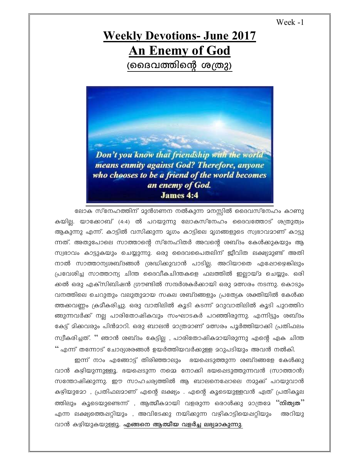Week -1

## **Weekly Devotions- June 2017 An Enemy of God** (ദൈവത്തിന്റെ ശത്രു)



ലോക സ്നേഹത്തിന് മുൻഗണന നൽകുന്ന മനസ്സിൽ ദൈവസ്നേഹം കാണു കയില്ല. യാക്കോബ് (4:4) ൽ പറയുന്നു ലോകസ്നേഹം ദൈവത്തോട് ശത്രുത്വം ആകുന്നു എന്ന്. കാട്ടിൽ വസിക്കുന്ന മൃഗം കാട്ടിലെ മൃഗങ്ങളുടെ സ്വഭാവമാണ് കാട്ടു ന്നത്. അതുപോലെ സാത്താന്റെ സ്നേഹിതർ അവന്റെ ശബ്ദം കേൾക്കുകയും ആ സ്വഭാവം കാട്ടുകയും ചെയ്യുന്നു. ഒരു ദൈവപൈതലിന് ജീവിത ലക്ഷ്യമുണ്ട് അതി നാൽ സാത്താന്യശബ്ദങ്ങൾ ശ്രദ്ധിക്കുവാൻ പാടില്ല. അറിയാതെ എപ്പോഴെങ്കിലും പ്രവേശിച്ച സാത്താന്യ ചിന്ത ദൈവീകചിന്തകളെ ഫലത്തിൽ ഇല്ലായ്ദ ചെയ്യും. ഒരി ക്കൽ ഒരു എക്സിബിഷൻ ഗ്രൗണ്ടിൽ സന്ദർശകർക്കായി ഒരു മത്സരം നടന്നു. കൊടും വനത്തിലെ ചെറുതും വലുതുമായ സകല ശബ്ദങ്ങളും പ്രത്യേക ശക്തിയിൽ കേൾക്ക ത്തക്കവണ്ണം ക്രമീകരിച്ചു. ഒരു വാതിലിൽ കൂടി കടന്ന് മറുവാതിലിൽ കൂടി പുറത്തിറ ങ്ങുന്നവർക്ക് നല്ല പാരിതോഷികവും സംഘാടകർ പറഞ്ഞിരുന്നു. എന്നിട്ടും ശബ്ദം കേട്ട് മിക്കവരും പിൻമാറി. ഒരു ബാലൻ മാത്രമാണ് മത്സരം പൂർത്തിയാക്കി പ്രതിഫലം സ്വീകരിച്ചത്. '' ഞാൻ ശബ്ദം കേട്ടില്ല , പാരിതോഷികമായിരുന്നു എന്റെ ഏക ചിന്ത '' എന്ന് തന്നോട് ചോദ്യശരങ്ങൾ ഉയർത്തിയവർക്കുള്ള മറുപടിയും അവൻ നൽകി.

ഇന്ന് നാം എങ്ങോട്ട് തിരിഞ്ഞാലും ഭയപ്പെടുത്തുന്ന ശബ്ദങ്ങളേ കേൾക്കു വാൻ കഴിയുന്നുള്ളൂ. ഭയപ്പെടുന്ന നമ്മെ നോക്കി ഭയപ്പെടുത്തുന്നവൻ (സാത്താൻ) സന്തോഷിക്കുന്നു. ഈ സാഹചര്യത്തിൽ ആ ബാലനെഷോലെ നമുക്ക് പറയുവാൻ കഴിയുമോ , പ്രതിഫലമാണ് എന്റെ ലക്ഷ്യം . എന്റെ കൂടെയുള്ളവൻ ഏത് പ്രതികൂല ത്തിലും കൂടെയുണ്ടെന്ന് , ആത്മീകമായി വളരുന്ന ഒരാൾക്കു മാത്രമേ **''നിത്യത**'' എന്ന ലക്ഷ്യത്തെഷറ്റിയും , അവിടേക്കു നയിക്കുന്ന വഴികാട്ടിയെഷറ്റിയും അറിയു വാൻ കഴിയുകയുള്ളൂ. എങ്ങനെ ആത്മീയ വളർച്ച ലഭ്യമാകുന്നു.